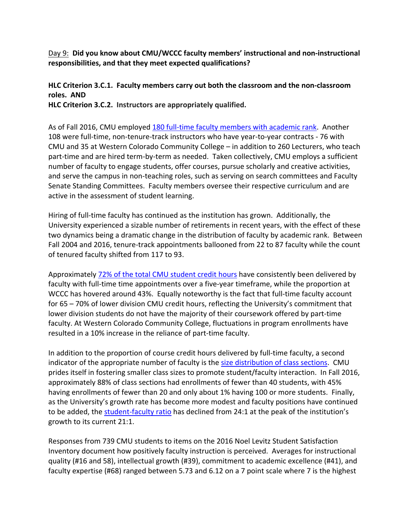Day 9: **Did you know about CMU/WCCC faculty members' instructional and non‐instructional responsibilities, and that they meet expected qualifications?**

## **HLC Criterion 3.C.1. Faculty members carry out both the classroom and the non‐classroom roles. AND**

**HLC Criterion 3.C.2. Instructors are appropriately qualified.**

As of Fall 2016, CMU employed 180 full‐time faculty members with academic rank. Another 108 were full-time, non-tenure-track instructors who have year-to-year contracts - 76 with CMU and 35 at Western Colorado Community College – in addition to 260 Lecturers, who teach part-time and are hired term-by-term as needed. Taken collectively, CMU employs a sufficient number of faculty to engage students, offer courses, pursue scholarly and creative activities, and serve the campus in non-teaching roles, such as serving on search committees and Faculty Senate Standing Committees. Faculty members oversee their respective curriculum and are active in the assessment of student learning.

Hiring of full-time faculty has continued as the institution has grown. Additionally, the University experienced a sizable number of retirements in recent years, with the effect of these two dynamics being a dramatic change in the distribution of faculty by academic rank. Between Fall 2004 and 2016, tenure-track appointments ballooned from 22 to 87 faculty while the count of tenured faculty shifted from 117 to 93.

Approximately 72% of the total CMU student credit hours have consistently been delivered by faculty with full-time time appointments over a five-year timeframe, while the proportion at WCCC has hovered around 43%. Equally noteworthy is the fact that full-time faculty account for 65 – 70% of lower division CMU credit hours, reflecting the University's commitment that lower division students do not have the majority of their coursework offered by part-time faculty. At Western Colorado Community College, fluctuations in program enrollments have resulted in a 10% increase in the reliance of part‐time faculty.

In addition to the proportion of course credit hours delivered by full-time faculty, a second indicator of the appropriate number of faculty is the size distribution of class sections. CMU prides itself in fostering smaller class sizes to promote student/faculty interaction. In Fall 2016, approximately 88% of class sections had enrollments of fewer than 40 students, with 45% having enrollments of fewer than 20 and only about 1% having 100 or more students. Finally, as the University's growth rate has become more modest and faculty positions have continued to be added, the student-faculty ratio has declined from 24:1 at the peak of the institution's growth to its current 21:1.

Responses from 739 CMU students to items on the 2016 Noel Levitz Student Satisfaction Inventory document how positively faculty instruction is perceived. Averages for instructional quality (#16 and 58), intellectual growth (#39), commitment to academic excellence (#41), and faculty expertise (#68) ranged between 5.73 and 6.12 on a 7 point scale where 7 is the highest